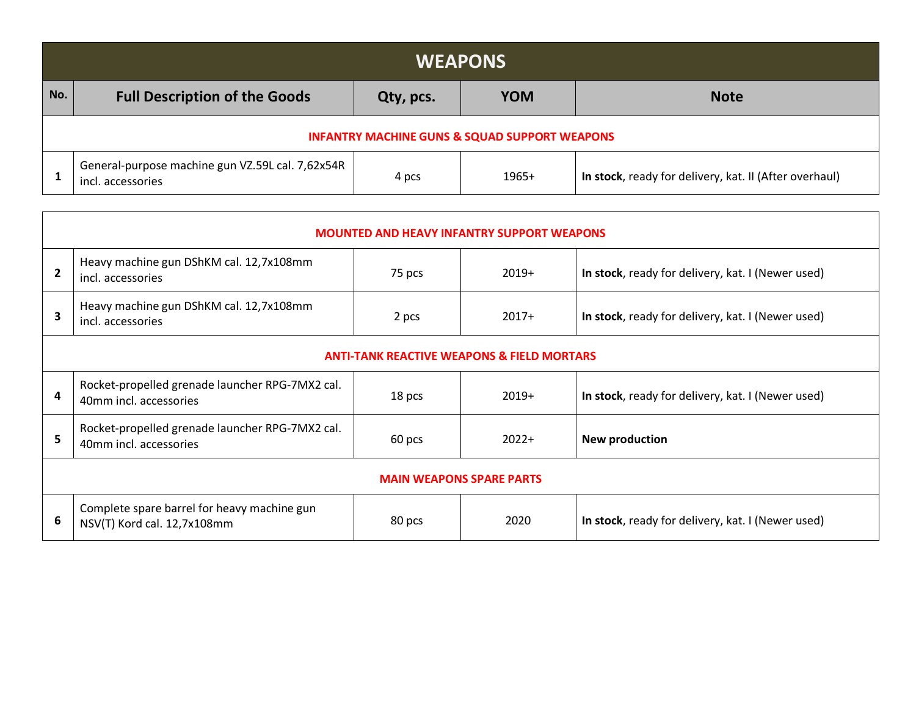| <b>WEAPONS</b>                                           |                                                                       |           |            |                                                        |  |
|----------------------------------------------------------|-----------------------------------------------------------------------|-----------|------------|--------------------------------------------------------|--|
| No.                                                      | <b>Full Description of the Goods</b>                                  | Qty, pcs. | <b>YOM</b> | <b>Note</b>                                            |  |
| <b>INFANTRY MACHINE GUNS &amp; SQUAD SUPPORT WEAPONS</b> |                                                                       |           |            |                                                        |  |
|                                                          | General-purpose machine gun VZ.59L cal. 7,62x54R<br>incl. accessories | 4 pcs     | 1965+      | In stock, ready for delivery, kat. II (After overhaul) |  |

| <b>MOUNTED AND HEAVY INFANTRY SUPPORT WEAPONS</b>     |                                                                            |        |         |                                                   |  |
|-------------------------------------------------------|----------------------------------------------------------------------------|--------|---------|---------------------------------------------------|--|
| $\overline{2}$                                        | Heavy machine gun DShKM cal. 12,7x108mm<br>incl. accessories               | 75 pcs | $2019+$ | In stock, ready for delivery, kat. I (Newer used) |  |
| 3                                                     | Heavy machine gun DShKM cal. 12,7x108mm<br>incl. accessories               | 2 pcs  | $2017+$ | In stock, ready for delivery, kat. I (Newer used) |  |
| <b>ANTI-TANK REACTIVE WEAPONS &amp; FIELD MORTARS</b> |                                                                            |        |         |                                                   |  |
| 4                                                     | Rocket-propelled grenade launcher RPG-7MX2 cal.<br>40mm incl. accessories  | 18 pcs | $2019+$ | In stock, ready for delivery, kat. I (Newer used) |  |
| 5                                                     | Rocket-propelled grenade launcher RPG-7MX2 cal.<br>40mm incl. accessories  | 60 pcs | $2022+$ | <b>New production</b>                             |  |
| <b>MAIN WEAPONS SPARE PARTS</b>                       |                                                                            |        |         |                                                   |  |
| 6                                                     | Complete spare barrel for heavy machine gun<br>NSV(T) Kord cal. 12,7x108mm | 80 pcs | 2020    | In stock, ready for delivery, kat. I (Newer used) |  |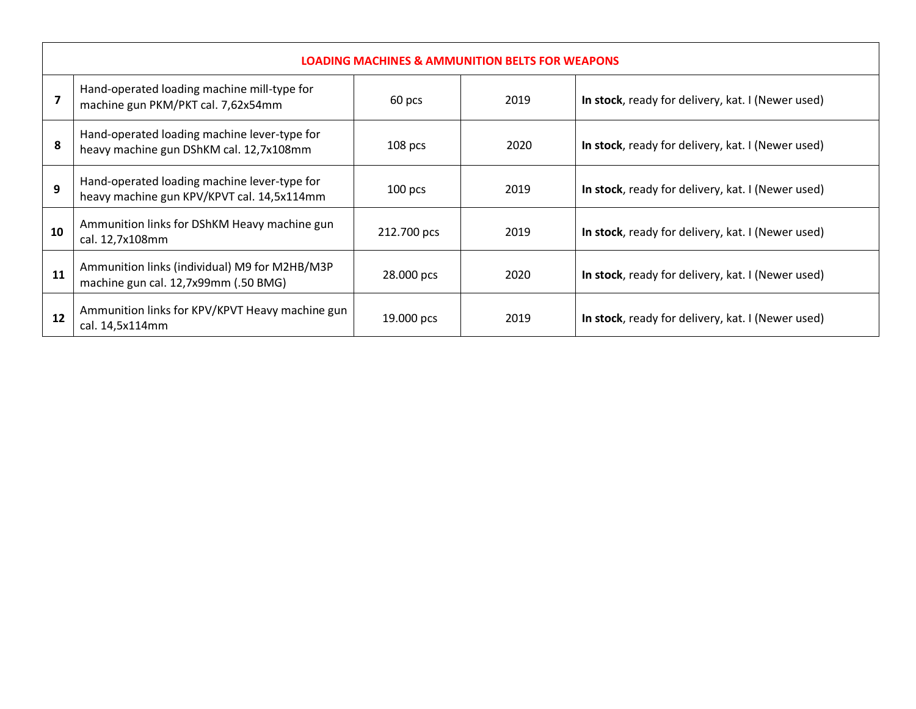| LOADING MACHINES & AMMUNITION BELTS FOR WEAPONS |                                                                                            |             |      |                                                   |
|-------------------------------------------------|--------------------------------------------------------------------------------------------|-------------|------|---------------------------------------------------|
| $\overline{7}$                                  | Hand-operated loading machine mill-type for<br>machine gun PKM/PKT cal. 7,62x54mm          | 60 pcs      | 2019 | In stock, ready for delivery, kat. I (Newer used) |
| 8                                               | Hand-operated loading machine lever-type for<br>heavy machine gun DShKM cal. 12,7x108mm    | $108$ pcs   | 2020 | In stock, ready for delivery, kat. I (Newer used) |
| $\mathbf{q}$                                    | Hand-operated loading machine lever-type for<br>heavy machine gun KPV/KPVT cal. 14,5x114mm | $100$ pcs   | 2019 | In stock, ready for delivery, kat. I (Newer used) |
| 10                                              | Ammunition links for DShKM Heavy machine gun<br>cal. 12,7x108mm                            | 212.700 pcs | 2019 | In stock, ready for delivery, kat. I (Newer used) |
| 11                                              | Ammunition links (individual) M9 for M2HB/M3P<br>machine gun cal. 12,7x99mm (.50 BMG)      | 28.000 pcs  | 2020 | In stock, ready for delivery, kat. I (Newer used) |
| 12                                              | Ammunition links for KPV/KPVT Heavy machine gun<br>cal. 14,5x114mm                         | 19.000 pcs  | 2019 | In stock, ready for delivery, kat. I (Newer used) |